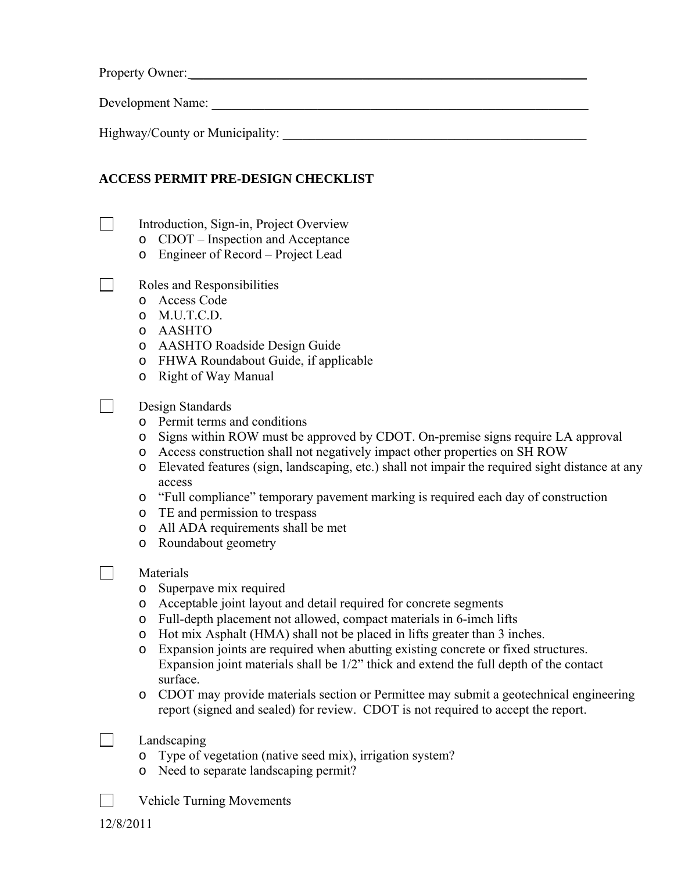Property Owner: \_\_\_\_\_\_\_\_\_\_\_\_\_\_\_\_\_\_\_\_\_\_\_\_\_\_\_\_\_\_\_\_\_\_\_\_\_\_\_\_\_\_\_\_\_\_\_\_\_\_\_\_\_\_\_\_\_\_\_\_

Development Name: \_\_\_\_\_\_\_\_\_\_\_\_\_\_\_\_\_\_\_\_\_\_\_\_\_\_\_\_\_\_\_\_\_\_\_\_\_\_\_\_\_\_\_\_\_\_\_\_\_\_\_\_\_\_\_\_\_

Highway/County or Municipality:

## **ACCESS PERMIT PRE-DESIGN CHECKLIST**

- □ Introduction, Sign-in, Project Overview
	- o CDOT Inspection and Acceptance
	- o Engineer of Record Project Lead
- Roles and Responsibilities
	- o Access Code
	- o M.U.T.C.D.
	- o AASHTO
	- o AASHTO Roadside Design Guide
	- o FHWA Roundabout Guide, if applicable
	- o Right of Way Manual
- Design Standards
	- o Permit terms and conditions
	- o Signs within ROW must be approved by CDOT. On-premise signs require LA approval
	- o Access construction shall not negatively impact other properties on SH ROW
	- o Elevated features (sign, landscaping, etc.) shall not impair the required sight distance at any access
	- o "Full compliance" temporary pavement marking is required each day of construction
	- o TE and permission to trespass
	- o All ADA requirements shall be met
	- o Roundabout geometry
- **Naterials** 
	- o Superpave mix required
	- o Acceptable joint layout and detail required for concrete segments
	- o Full-depth placement not allowed, compact materials in 6-imch lifts
	- o Hot mix Asphalt (HMA) shall not be placed in lifts greater than 3 inches.
	- o Expansion joints are required when abutting existing concrete or fixed structures. Expansion joint materials shall be 1/2" thick and extend the full depth of the contact surface.
	- o CDOT may provide materials section or Permittee may submit a geotechnical engineering report (signed and sealed) for review. CDOT is not required to accept the report.
- | Landscaping
	- o Type of vegetation (native seed mix), irrigation system?
	- o Need to separate landscaping permit?
- **Netchberry** Movements

12/8/2011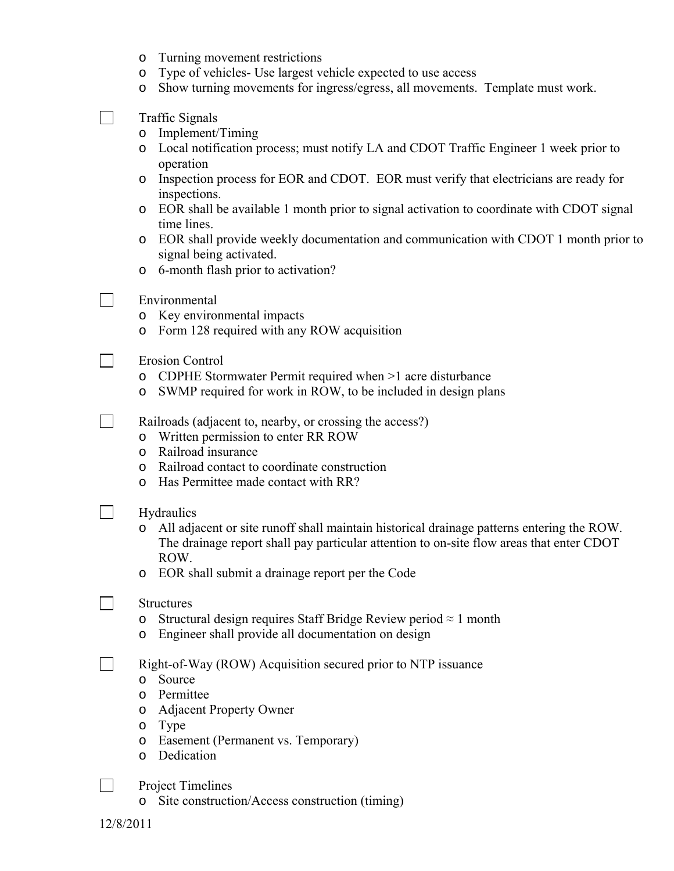- o Turning movement restrictions
- o Type of vehicles- Use largest vehicle expected to use access
- o Show turning movements for ingress/egress, all movements. Template must work.
- $\Box$  Traffic Signals
	- o Implement/Timing
	- o Local notification process; must notify LA and CDOT Traffic Engineer 1 week prior to operation
	- o Inspection process for EOR and CDOT. EOR must verify that electricians are ready for inspections.
	- o EOR shall be available 1 month prior to signal activation to coordinate with CDOT signal time lines.
	- o EOR shall provide weekly documentation and communication with CDOT 1 month prior to signal being activated.
	- o 6-month flash prior to activation?
- Environmental
	- o Key environmental impacts
	- o Form 128 required with any ROW acquisition
- Erosion Control
	- o CDPHE Stormwater Permit required when >1 acre disturbance
	- o SWMP required for work in ROW, to be included in design plans

Railroads (adjacent to, nearby, or crossing the access?)

- o Written permission to enter RR ROW
- o Railroad insurance
- o Railroad contact to coordinate construction
- o Has Permittee made contact with RR?
- $\Box$  Hydraulics
	- o All adjacent or site runoff shall maintain historical drainage patterns entering the ROW. The drainage report shall pay particular attention to on-site flow areas that enter CDOT ROW.
	- o EOR shall submit a drainage report per the Code
- **N** Structures
	- o Structural design requires Staff Bridge Review period  $\approx 1$  month
	- o Engineer shall provide all documentation on design

**EXECUTE:** Right-of-Way (ROW) Acquisition secured prior to NTP issuance

- o Source
- o Permittee
- o Adjacent Property Owner
- o Type
- o Easement (Permanent vs. Temporary)
- o Dedication
- | Project Timelines
	- o Site construction/Access construction (timing)